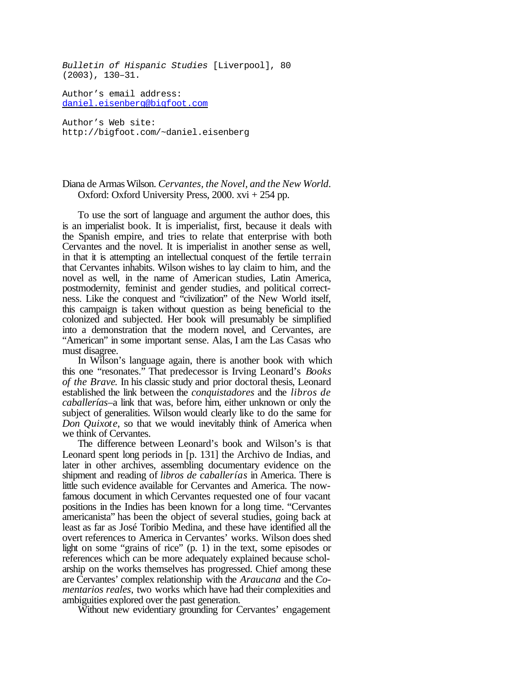*Bulletin of Hispanic Studies* [Liverpool], 80 (2003), 130–31.

Author's email address: daniel.eisenberg@bigfoot.com

Author's Web site: http://bigfoot.com/~daniel.eisenberg

## Diana de ArmasWilson. *Cervantes, the Novel, and the New World*. Oxford: Oxford University Press, 2000. xvi + 254 pp.

To use the sort of language and argument the author does, this is an imperialist book. It is imperialist, first, because it deals with the Spanish empire, and tries to relate that enterprise with both Cervantes and the novel. It is imperialist in another sense as well, in that it is attempting an intellectual conquest of the fertile terrain that Cervantes inhabits. Wilson wishes to lay claim to him, and the novel as well, in the name of American studies, Latin America, postmodernity, feminist and gender studies, and political correctness. Like the conquest and "civilization" of the New World itself, this campaign is taken without question as being beneficial to the colonized and subjected. Her book will presumably be simplified into a demonstration that the modern novel, and Cervantes, are "American" in some important sense. Alas, I am the Las Casas who must disagree.

In Wilson's language again, there is another book with which this one "resonates." That predecessor is Irving Leonard's *Books of the Brave*. In his classic study and prior doctoral thesis, Leonard established the link between the *conquistadores* and the *libros de caballerías*–a link that was, before him, either unknown or only the subject of generalities. Wilson would clearly like to do the same for *Don Quixote*, so that we would inevitably think of America when we think of Cervantes.

The difference between Leonard's book and Wilson's is that Leonard spent long periods in [p. 131] the Archivo de Indias, and later in other archives, assembling documentary evidence on the shipment and reading of *libros de caballerías* in America. There is little such evidence available for Cervantes and America. The nowfamous document in which Cervantes requested one of four vacant positions in the Indies has been known for a long time. "Cervantes americanista" has been the object of several studies, going back at least as far as José Toribio Medina, and these have identified all the overt references to America in Cervantes' works. Wilson does shed light on some "grains of rice" (p. 1) in the text, some episodes or references which can be more adequately explained because scholarship on the works themselves has progressed. Chief among these are Cervantes' complex relationship with the *Araucana* and the *Comentarios reales*, two works which have had their complexities and ambiguities explored over the past generation.

Without new evidentiary grounding for Cervantes' engagement